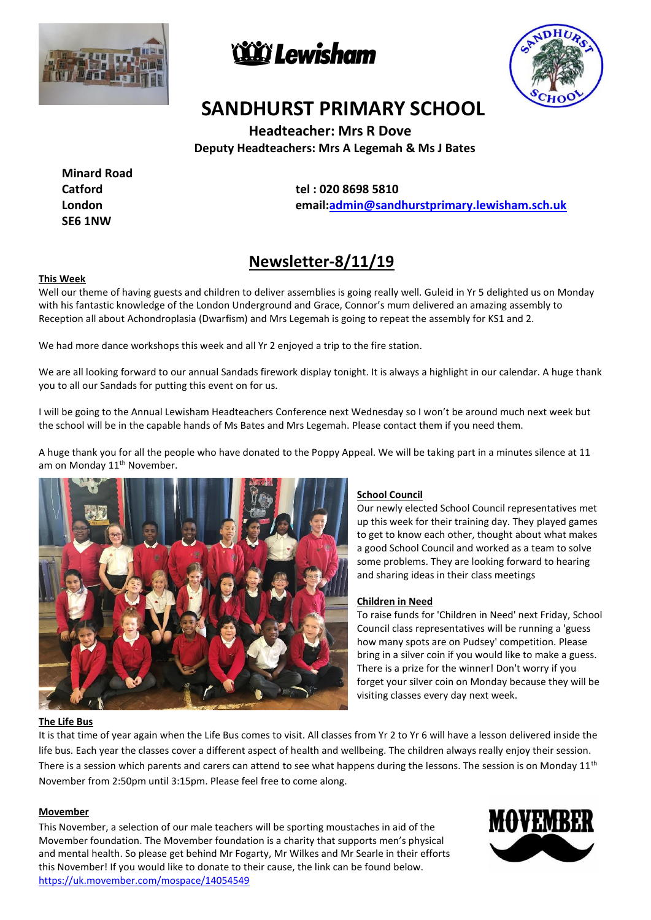





# **SANDHURST PRIMARY SCHOOL**

 **Headteacher: Mrs R Dove Deputy Headteachers: Mrs A Legemah & Ms J Bates**

**Minard Road Catford London SE6 1NW**

**T tel : 020 8698 5810 email[:admin@sandhurstprimary.lewisham.sch.uk](mailto:admin@sandhurstprimary.lewisham.sch.uk)**

# **Newsletter-8/11/19**

#### **This Week**

Well our theme of having guests and children to deliver assemblies is going really well. Guleid in Yr 5 delighted us on Monday with his fantastic knowledge of the London Underground and Grace, Connor's mum delivered an amazing assembly to Reception all about Achondroplasia (Dwarfism) and Mrs Legemah is going to repeat the assembly for KS1 and 2.

We had more dance workshops this week and all Yr 2 enjoyed a trip to the fire station.

We are all looking forward to our annual Sandads firework display tonight. It is always a highlight in our calendar. A huge thank you to all our Sandads for putting this event on for us.

I will be going to the Annual Lewisham Headteachers Conference next Wednesday so I won't be around much next week but the school will be in the capable hands of Ms Bates and Mrs Legemah. Please contact them if you need them.

A huge thank you for all the people who have donated to the Poppy Appeal. We will be taking part in a minutes silence at 11 am on Monday 11<sup>th</sup> November.



# **School Council**

Our newly elected School Council representatives met up this week for their training day. They played games to get to know each other, thought about what makes a good School Council and worked as a team to solve some problems. They are looking forward to hearing and sharing ideas in their class meetings

#### **Children in Need**

To raise funds for 'Children in Need' next Friday, School Council class representatives will be running a 'guess how many spots are on Pudsey' competition. Please bring in a silver coin if you would like to make a guess. There is a prize for the winner! Don't worry if you forget your silver coin on Monday because they will be visiting classes every day next week.

#### **The Life Bus**

It is that time of year again when the Life Bus comes to visit. All classes from Yr 2 to Yr 6 will have a lesson delivered inside the life bus. Each year the classes cover a different aspect of health and wellbeing. The children always really enjoy their session. There is a session which parents and carers can attend to see what happens during the lessons. The session is on Monday  $11<sup>th</sup>$ November from 2:50pm until 3:15pm. Please feel free to come along.

#### **Movember**

This November, a selection of our male teachers will be sporting moustaches in aid of the Movember foundation. The Movember foundation is a charity that supports men's physical and mental health. So please get behind Mr Fogarty, Mr Wilkes and Mr Searle in their efforts this November! If you would like to donate to their cause, the link can be found below. <https://uk.movember.com/mospace/14054549>